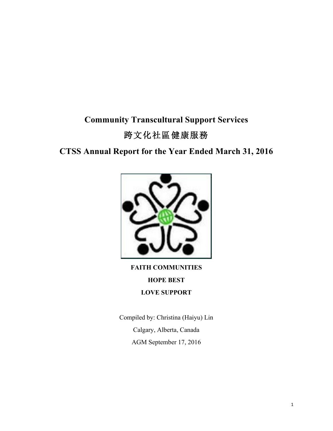# **Community Transcultural Support Services** 跨文化社區健康服務

## **CTSS Annual Report for the Year Ended March 31, 2016**



**FAITH COMMUNITIES HOPE BEST LOVE SUPPORT**

Compiled by: Christina (Haiyu) Lin Calgary, Alberta, Canada AGM September 17, 2016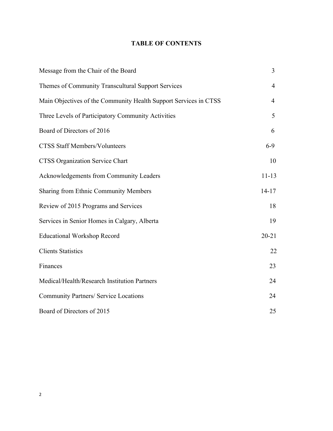## **TABLE OF CONTENTS**

| Message from the Chair of the Board                              | $\overline{3}$ |
|------------------------------------------------------------------|----------------|
| Themes of Community Transcultural Support Services               | $\overline{4}$ |
| Main Objectives of the Community Health Support Services in CTSS | $\overline{4}$ |
| Three Levels of Participatory Community Activities               | 5              |
| Board of Directors of 2016                                       | 6              |
| <b>CTSS Staff Members/Volunteers</b>                             | $6 - 9$        |
| <b>CTSS Organization Service Chart</b>                           | 10             |
| Acknowledgements from Community Leaders                          | $11 - 13$      |
| Sharing from Ethnic Community Members                            | $14 - 17$      |
| Review of 2015 Programs and Services                             | 18             |
| Services in Senior Homes in Calgary, Alberta                     | 19             |
| <b>Educational Workshop Record</b>                               | $20 - 21$      |
| <b>Clients Statistics</b>                                        | 22             |
| Finances                                                         | 23             |
| Medical/Health/Research Institution Partners                     | 24             |
| <b>Community Partners/ Service Locations</b>                     | 24             |
| Board of Directors of 2015                                       | 25             |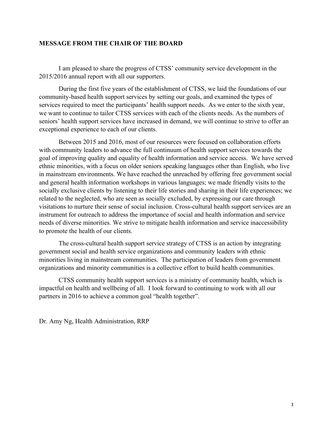#### **MESSAGE FROM THE CHAIR OF THE BOARD**

I am pleased to share the progress of CTSS' community service development in the 2015/2016 annual report with all our supporters.

During the first five years of the establishment of CTSS, we laid the foundations of our community-based health support services by setting our goals, and examined the types of services required to meet the participants' health support needs. As we enter to the sixth year, we want to continue to tailor CTSS services with each of the clients needs. As the numbers of seniors' health support services have increased in demand, we will continue to strive to offer an exceptional experience to each of our clients.

Between 2015 and 2016, most of our resources were focused on collaboration efforts with community leaders to advance the full continuum of health support services towards the goal of improving quality and equality of health information and service access. We have served ethnic minorities, with a focus on older seniors speaking languages other than English, who live in mainstream environments. We have reached the unreached by offering free government social and general health information workshops in various languages; we made friendly visits to the socially exclusive clients by listening to their life stories and sharing in their life experiences; we related to the neglected, who are seen as socially excluded, by expressing our care through visitations to nurture their sense of social inclusion. Cross-cultural health support services are an instrument for outreach to address the importance of social and health information and service needs of diverse minorities. We strive to mitigate health information and service inaccessibility to promote the health of our clients.

The cross-cultural health support service strategy of CTSS is an action by integrating government social and health service organizations and community leaders with ethnic minorities living in mainstream communities. The participation of leaders from government organizations and minority communities is a collective effort to build health communities.

CTSS community health support services is a ministry of community health, which is impactful on health and wellbeing of all. I look forward to continuing to work with all our partners in 2016 to achieve a common goal "health together".

Dr. Amy Ng, Health Administration, RRP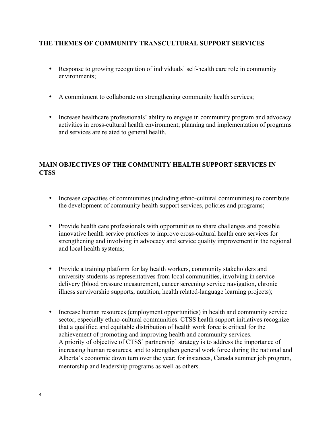## **THE THEMES OF COMMUNITY TRANSCULTURAL SUPPORT SERVICES**

- Response to growing recognition of individuals' self-health care role in community environments;
- A commitment to collaborate on strengthening community health services;
- Increase healthcare professionals' ability to engage in community program and advocacy activities in cross-cultural health environment; planning and implementation of programs and services are related to general health.

## **MAIN OBJECTIVES OF THE COMMUNITY HEALTH SUPPORT SERVICES IN CTSS**

- Increase capacities of communities (including ethno-cultural communities) to contribute the development of community health support services, policies and programs;
- Provide health care professionals with opportunities to share challenges and possible innovative health service practices to improve cross-cultural health care services for strengthening and involving in advocacy and service quality improvement in the regional and local health systems;
- Provide a training platform for lay health workers, community stakeholders and university students as representatives from local communities, involving in service delivery (blood pressure measurement, cancer screening service navigation, chronic illness survivorship supports, nutrition, health related-language learning projects);
- Increase human resources (employment opportunities) in health and community service sector, especially ethno-cultural communities. CTSS health support initiatives recognize that a qualified and equitable distribution of health work force is critical for the achievement of promoting and improving health and community services. A priority of objective of CTSS' partnership' strategy is to address the importance of increasing human resources, and to strengthen general work force during the national and Alberta's economic down turn over the year; for instances, Canada summer job program, mentorship and leadership programs as well as others.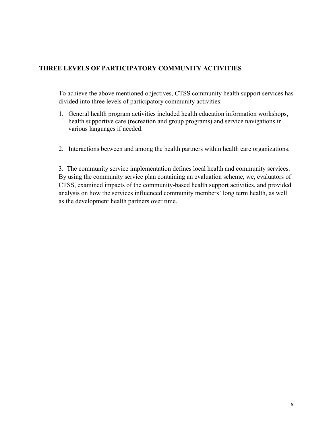## **THREE LEVELS OF PARTICIPATORY COMMUNITY ACTIVITIES**

To achieve the above mentioned objectives, CTSS community health support services has divided into three levels of participatory community activities:

- 1. General health program activities included health education information workshops, health supportive care (recreation and group programs) and service navigations in various languages if needed.
- 2. Interactions between and among the health partners within health care organizations.

3. The community service implementation defines local health and community services. By using the community service plan containing an evaluation scheme, we, evaluators of CTSS, examined impacts of the community-based health support activities, and provided analysis on how the services influenced community members' long term health, as well as the development health partners over time.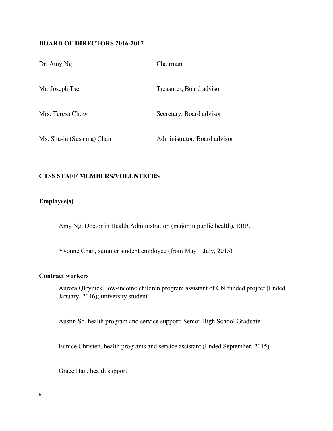#### **BOARD OF DIRECTORS 2016-2017**

| Dr. Amy Ng                | Chairman                     |
|---------------------------|------------------------------|
| Mr. Joseph Tse            | Treasurer, Board advisor     |
| Mrs. Teresa Chow          | Secretary, Board advisor     |
| Ms. Shu-ju (Susanna) Chan | Administrator, Board advisor |

#### **CTSS STAFF MEMBERS/VOLUNTEERS**

## **Employee(s)**

Amy Ng, Doctor in Health Administration (major in public health), RRP.

Yvonne Chan, summer student employee (from May – July, 2015)

#### **Contract workers**

Aurora Qleynick, low-income children program assistant of CN funded project (Ended January, 2016); university student

Austin So, health program and service support; Senior High School Graduate

Eunice Christen, health programs and service assistant (Ended September, 2015)

Grace Han, health support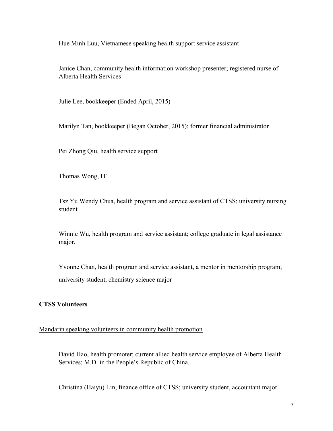Hue Minh Luu, Vietnamese speaking health support service assistant

Janice Chan, community health information workshop presenter; registered nurse of Alberta Health Services

Julie Lee, bookkeeper (Ended April, 2015)

Marilyn Tan, bookkeeper (Began October, 2015); former financial administrator

Pei Zhong Qiu, health service support

Thomas Wong, IT

Tsz Yu Wendy Chua, health program and service assistant of CTSS; university nursing student

Winnie Wu, health program and service assistant; college graduate in legal assistance major.

Yvonne Chan, health program and service assistant, a mentor in mentorship program; university student, chemistry science major

#### **CTSS Volunteers**

#### Mandarin speaking volunteers in community health promotion

David Hao, health promoter; current allied health service employee of Alberta Health Services; M.D. in the People's Republic of China.

Christina (Haiyu) Lin, finance office of CTSS; university student, accountant major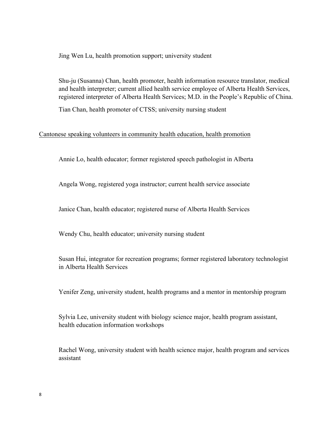Jing Wen Lu, health promotion support; university student

Shu-ju (Susanna) Chan, health promoter, health information resource translator, medical and health interpreter; current allied health service employee of Alberta Health Services, registered interpreter of Alberta Health Services; M.D. in the People's Republic of China.

Tian Chan, health promoter of CTSS; university nursing student

#### Cantonese speaking volunteers in community health education, health promotion

Annie Lo, health educator; former registered speech pathologist in Alberta

Angela Wong, registered yoga instructor; current health service associate

Janice Chan, health educator; registered nurse of Alberta Health Services

Wendy Chu, health educator; university nursing student

Susan Hui, integrator for recreation programs; former registered laboratory technologist in Alberta Health Services

Yenifer Zeng, university student, health programs and a mentor in mentorship program

Sylvia Lee, university student with biology science major, health program assistant, health education information workshops

Rachel Wong, university student with health science major, health program and services assistant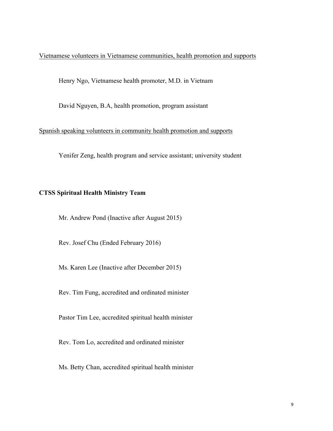Vietnamese volunteers in Vietnamese communities, health promotion and supports

Henry Ngo, Vietnamese health promoter, M.D. in Vietnam

David Nguyen, B.A, health promotion, program assistant

Spanish speaking volunteers in community health promotion and supports

Yenifer Zeng, health program and service assistant; university student

#### **CTSS Spiritual Health Ministry Team**

Mr. Andrew Pond (Inactive after August 2015)

Rev. Josef Chu (Ended February 2016)

Ms. Karen Lee (Inactive after December 2015)

Rev. Tim Fung, accredited and ordinated minister

Pastor Tim Lee, accredited spiritual health minister

Rev. Tom Lo, accredited and ordinated minister

Ms. Betty Chan, accredited spiritual health minister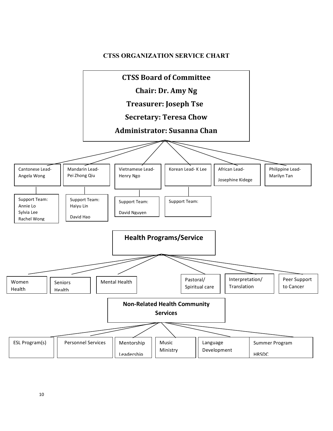#### **CTSS ORGANIZATION SERVICE CHART**

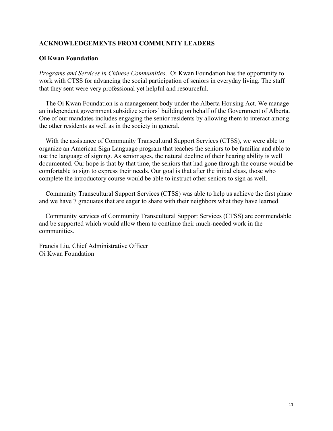#### **ACKNOWLEDGEMENTS FROM COMMUNITY LEADERS**

#### **Oi Kwan Foundation**

*Programs and Services in Chinese Communities*. Oi Kwan Foundation has the opportunity to work with CTSS for advancing the social participation of seniors in everyday living. The staff that they sent were very professional yet helpful and resourceful.

The Oi Kwan Foundation is a management body under the Alberta Housing Act. We manage an independent government subsidize seniors' building on behalf of the Government of Alberta. One of our mandates includes engaging the senior residents by allowing them to interact among the other residents as well as in the society in general.

With the assistance of Community Transcultural Support Services (CTSS), we were able to organize an American Sign Language program that teaches the seniors to be familiar and able to use the language of signing. As senior ages, the natural decline of their hearing ability is well documented. Our hope is that by that time, the seniors that had gone through the course would be comfortable to sign to express their needs. Our goal is that after the initial class, those who complete the introductory course would be able to instruct other seniors to sign as well.

Community Transcultural Support Services (CTSS) was able to help us achieve the first phase and we have 7 graduates that are eager to share with their neighbors what they have learned.

Community services of Community Transcultural Support Services (CTSS) are commendable and be supported which would allow them to continue their much-needed work in the communities.

Francis Liu, Chief Administrative Officer Oi Kwan Foundation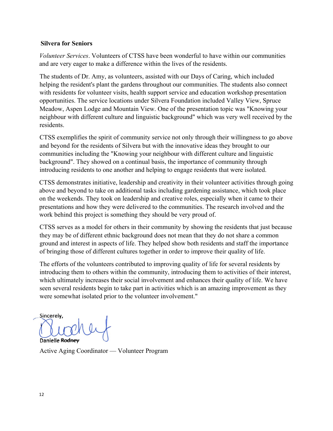#### **Silvera for Seniors**

*Volunteer Services*. Volunteers of CTSS have been wonderful to have within our communities and are very eager to make a difference within the lives of the residents.

The students of Dr. Amy, as volunteers, assisted with our Days of Caring, which included helping the resident's plant the gardens throughout our communities. The students also connect with residents for volunteer visits, health support service and education workshop presentation opportunities. The service locations under Silvera Foundation included Valley View, Spruce Meadow, Aspen Lodge and Mountain View. One of the presentation topic was "Knowing your neighbour with different culture and linguistic background" which was very well received by the residents.

CTSS exemplifies the spirit of community service not only through their willingness to go above and beyond for the residents of Silvera but with the innovative ideas they brought to our communities including the "Knowing your neighbour with different culture and linguistic background". They showed on a continual basis, the importance of community through introducing residents to one another and helping to engage residents that were isolated.

CTSS demonstrates initiative, leadership and creativity in their volunteer activities through going above and beyond to take on additional tasks including gardening assistance, which took place on the weekends. They took on leadership and creative roles, especially when it came to their presentations and how they were delivered to the communities. The research involved and the work behind this project is something they should be very proud of.

CTSS serves as a model for others in their community by showing the residents that just because they may be of different ethnic background does not mean that they do not share a common ground and interest in aspects of life. They helped show both residents and staff the importance of bringing those of different cultures together in order to improve their quality of life.

The efforts of the volunteers contributed to improving quality of life for several residents by introducing them to others within the community, introducing them to activities of their interest, which ultimately increases their social involvement and enhances their quality of life. We have seen several residents begin to take part in activities which is an amazing improvement as they were somewhat isolated prior to the volunteer involvement."

Sincerely, Danielle Rodney

Active Aging Coordinator — Volunteer Program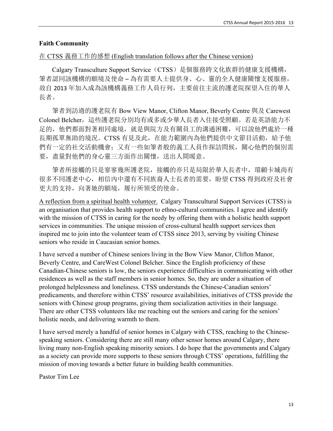#### **Faith Community**

#### 在 CTSS 義務工作的感想 (English translation follows after the Chinese version)

Calgary Transculture Support Service (CTSS) 是個服務跨文化族群的健康支援機構, 筆者認同該機構的願境及使命 – 為有需要人士提供身、心、靈的全人健康關懷支援服務, 故自 2013 年加入成為該機構義務工作人員行列,主要前往主流的護老院探望入住的華人 長者。

 筆者到訪過的護老院有 Bow View Manor, Clifton Manor, Beverly Centre 與及 Carewest Colonel Belcher,這些護老院分別均有或多或少華人長者入住接受照顧。若是英語能力不 足的,他們都面對著相同處境,就是與院方及有關員工的溝通困難,可以說他們處於一種 長期孤單無助的境況。CTSS 有見及此, 在能力範圍內為他們提供中文節目活動, 給予他 們有一定的社交活動機會;又有一些如筆者般的義工人員作探訪問候,關心他們的個別需 要, 盡量對他們的身心靈三方面作出關懷,送出人間暖意。

筆者所接觸的只是寥寥幾所護老院,接觸的亦只是局限於華人長者中,環顧卡城尚有 很多不同護老中心,相信內中還有不同族裔人士長者的需要,盼望 CTSS 得到政府及社會 更大的支持,向著她的願境,履行所領受的使命。

A reflection from a spiritual health volunteer. Calgary Transcultural Support Services (CTSS) is an organisation that provides health support to ethno-cultural communities. I agree and identify with the mission of CTSS in caring for the needy by offering them with a holistic health support services in communities. The unique mission of cross-cultural health support services then inspired me to join into the volunteer team of CTSS since 2013, serving by visiting Chinese seniors who reside in Caucasian senior homes.

I have served a number of Chinese seniors living in the Bow View Manor, Clifton Manor, Beverly Centre, and CareWest Colonel Belcher. Since the English proficiency of these Canadian-Chinese seniors is low, the seniors experience difficulties in communicating with other residences as well as the staff members in senior homes. So, they are under a situation of prolonged helplessness and loneliness. CTSS understands the Chinese-Canadian seniors' predicaments, and therefore within CTSS' resource availabilities, initiatives of CTSS provide the seniors with Chinese group programs, giving them socialization activities in their language. There are other CTSS volunteers like me reaching out the seniors and caring for the seniors' holistic needs, and delivering warmth to them.

I have served merely a handful of senior homes in Calgary with CTSS, reaching to the Chinesespeaking seniors. Considering there are still many other sensor homes around Calgary, there living many non-English speaking minority seniors. I do hope that the governments and Calgary as a society can provide more supports to these seniors through CTSS' operations, fulfilling the mission of moving towards a better future in building health communities.

Pastor Tim Lee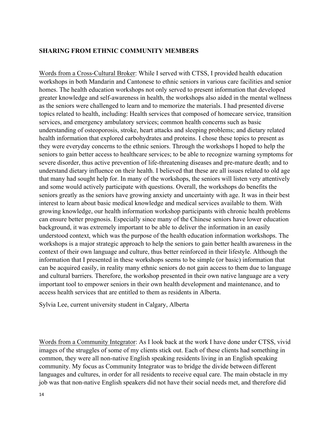#### **SHARING FROM ETHNIC COMMUNITY MEMBERS**

Words from a Cross-Cultural Broker: While I served with CTSS, I provided health education workshops in both Mandarin and Cantonese to ethnic seniors in various care facilities and senior homes. The health education workshops not only served to present information that developed greater knowledge and self-awareness in health, the workshops also aided in the mental wellness as the seniors were challenged to learn and to memorize the materials. I had presented diverse topics related to health, including: Health services that composed of homecare service, transition services, and emergency ambulatory services; common health concerns such as basic understanding of osteoporosis, stroke, heart attacks and sleeping problems; and dietary related health information that explored carbohydrates and proteins. I chose these topics to present as they were everyday concerns to the ethnic seniors. Through the workshops I hoped to help the seniors to gain better access to healthcare services; to be able to recognize warning symptoms for severe disorder, thus active prevention of life-threatening diseases and pre-mature death; and to understand dietary influence on their health. I believed that these are all issues related to old age that many had sought help for. In many of the workshops, the seniors will listen very attentively and some would actively participate with questions. Overall, the workshops do benefits the seniors greatly as the seniors have growing anxiety and uncertainty with age. It was in their best interest to learn about basic medical knowledge and medical services available to them. With growing knowledge, our health information workshop participants with chronic health problems can ensure better prognosis. Especially since many of the Chinese seniors have lower education background, it was extremely important to be able to deliver the information in an easily understood context, which was the purpose of the health education information workshops. The workshops is a major strategic approach to help the seniors to gain better health awareness in the context of their own language and culture, thus better reinforced in their lifestyle. Although the information that I presented in these workshops seems to be simple (or basic) information that can be acquired easily, in reality many ethnic seniors do not gain access to them due to language and cultural barriers. Therefore, the workshop presented in their own native language are a very important tool to empower seniors in their own health development and maintenance, and to access health services that are entitled to them as residents in Alberta.

Sylvia Lee, current university student in Calgary, Alberta

Words from a Community Integrator: As I look back at the work I have done under CTSS, vivid images of the struggles of some of my clients stick out. Each of these clients had something in common, they were all non-native English speaking residents living in an English speaking community. My focus as Community Integrator was to bridge the divide between different languages and cultures, in order for all residents to receive equal care. The main obstacle in my job was that non-native English speakers did not have their social needs met, and therefore did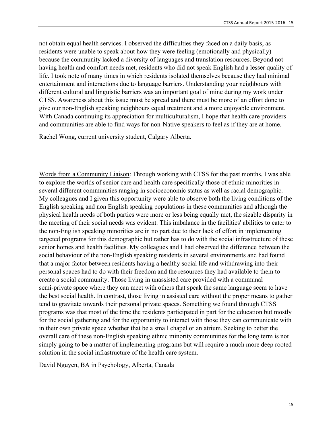not obtain equal health services. I observed the difficulties they faced on a daily basis, as residents were unable to speak about how they were feeling (emotionally and physically) because the community lacked a diversity of languages and translation resources. Beyond not having health and comfort needs met, residents who did not speak English had a lesser quality of life. I took note of many times in which residents isolated themselves because they had minimal entertainment and interactions due to language barriers. Understanding your neighbours with different cultural and linguistic barriers was an important goal of mine during my work under CTSS. Awareness about this issue must be spread and there must be more of an effort done to give our non-English speaking neighbours equal treatment and a more enjoyable environment. With Canada continuing its appreciation for multiculturalism, I hope that health care providers and communities are able to find ways for non-Native speakers to feel as if they are at home.

Rachel Wong, current university student, Calgary Alberta.

Words from a Community Liaison: Through working with CTSS for the past months, I was able to explore the worlds of senior care and health care specifically those of ethnic minorities in several different communities ranging in socioeconomic status as well as racial demographic. My colleagues and I given this opportunity were able to observe both the living conditions of the English speaking and non English speaking populations in these communities and although the physical health needs of both parties were more or less being equally met, the sizable disparity in the meeting of their social needs was evident. This imbalance in the facilities' abilities to cater to the non-English speaking minorities are in no part due to their lack of effort in implementing targeted programs for this demographic but rather has to do with the social infrastructure of these senior homes and health facilities. My colleagues and I had observed the difference between the social behaviour of the non-English speaking residents in several environments and had found that a major factor between residents having a healthy social life and withdrawing into their personal spaces had to do with their freedom and the resources they had available to them to create a social community. Those living in unassisted care provided with a communal semi-private space where they can meet with others that speak the same language seem to have the best social health. In contrast, those living in assisted care without the proper means to gather tend to gravitate towards their personal private spaces. Something we found through CTSS programs was that most of the time the residents participated in part for the education but mostly for the social gathering and for the opportunity to interact with those they can communicate with in their own private space whether that be a small chapel or an atrium. Seeking to better the overall care of these non-English speaking ethnic minority communities for the long term is not simply going to be a matter of implementing programs but will require a much more deep rooted solution in the social infrastructure of the health care system.

David Nguyen, BA in Psychology, Alberta, Canada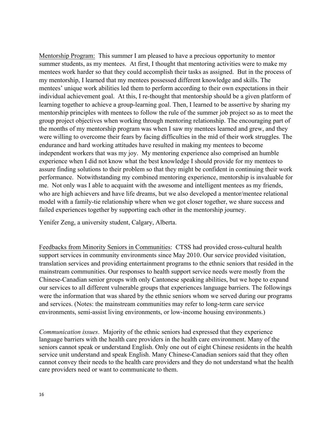Mentorship Program: This summer I am pleased to have a precious opportunity to mentor summer students, as my mentees. At first, I thought that mentoring activities were to make my mentees work harder so that they could accomplish their tasks as assigned. But in the process of my mentorship, I learned that my mentees possessed different knowledge and skills. The mentees' unique work abilities led them to perform according to their own expectations in their individual achievement goal. At this, I re-thought that mentorship should be a given platform of learning together to achieve a group-learning goal. Then, I learned to be assertive by sharing my mentorship principles with mentees to follow the rule of the summer job project so as to meet the group project objectives when working through mentoring relationship. The encouraging part of the months of my mentorship program was when I saw my mentees learned and grew, and they were willing to overcome their fears by facing difficulties in the mid of their work struggles. The endurance and hard working attitudes have resulted in making my mentees to become independent workers that was my joy. My mentoring experience also comprised an humble experience when I did not know what the best knowledge I should provide for my mentees to assure finding solutions to their problem so that they might be confident in continuing their work performance. Notwithstanding my combined mentoring experience, mentorship is invaluable for me. Not only was I able to acquaint with the awesome and intelligent mentees as my friends, who are high achievers and have life dreams, but we also developed a mentor/mentee relational model with a family-tie relationship where when we got closer together, we share success and failed experiences together by supporting each other in the mentorship journey.

Yenifer Zeng, a university student, Calgary, Alberta.

Feedbacks from Minority Seniors in Communities: CTSS had provided cross-cultural health support services in community environments since May 2010. Our service provided visitation, translation services and providing entertainment programs to the ethnic seniors that resided in the mainstream communities. Our responses to health support service needs were mostly from the Chinese-Canadian senior groups with only Cantonese speaking abilities, but we hope to expand our services to all different vulnerable groups that experiences language barriers. The followings were the information that was shared by the ethnic seniors whom we served during our programs and services. (Notes: the mainstream communities may refer to long-term care service environments, semi-assist living environments, or low-income housing environments.)

*Communication issues*. Majority of the ethnic seniors had expressed that they experience language barriers with the health care providers in the health care environment. Many of the seniors cannot speak or understand English. Only one out of eight Chinese residents in the health service unit understand and speak English. Many Chinese-Canadian seniors said that they often cannot convey their needs to the health care providers and they do not understand what the health care providers need or want to communicate to them.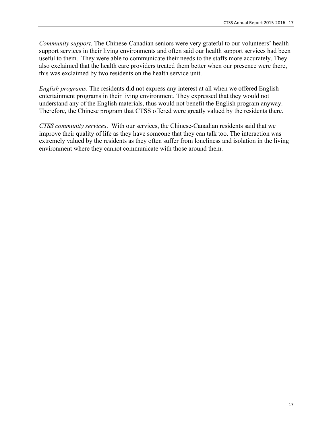*Community support*. The Chinese-Canadian seniors were very grateful to our volunteers' health support services in their living environments and often said our health support services had been useful to them. They were able to communicate their needs to the staffs more accurately. They also exclaimed that the health care providers treated them better when our presence were there, this was exclaimed by two residents on the health service unit.

*English programs*. The residents did not express any interest at all when we offered English entertainment programs in their living environment. They expressed that they would not understand any of the English materials, thus would not benefit the English program anyway. Therefore, the Chinese program that CTSS offered were greatly valued by the residents there.

*CTSS community services*. With our services, the Chinese-Canadian residents said that we improve their quality of life as they have someone that they can talk too. The interaction was extremely valued by the residents as they often suffer from loneliness and isolation in the living environment where they cannot communicate with those around them.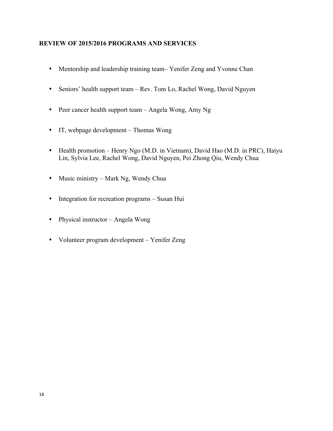#### **REVIEW OF 2015/2016 PROGRAMS AND SERVICES**

- Mentorship and leadership training team– Yenifer Zeng and Yvonne Chan
- Seniors' health support team Rev. Tom Lo, Rachel Wong, David Nguyen
- Peer cancer health support team Angela Wong, Amy Ng
- IT, webpage development Thomas Wong
- Health promotion Henry Ngo (M.D. in Vietnam), David Hao (M.D. in PRC), Haiyu Lin, Sylvia Lee, Rachel Wong, David Nguyen, Pei Zhong Qiu, Wendy Chua
- Music ministry Mark Ng, Wendy Chua
- Integration for recreation programs Susan Hui
- Physical instructor Angela Wong
- Volunteer program development Yenifer Zeng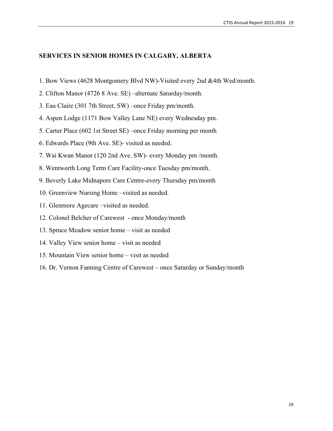#### **SERVICES IN SENIOR HOMES IN CALGARY, ALBERTA**

- 1. Bow Views (4628 Montgomery Blvd NW)-Visited every 2nd &4th Wed/month.
- 2. Clifton Manor (4726 8 Ave. SE) –alternate Saturday/month.
- 3. Eau Claire (301 7th Street, SW) –once Friday pm/month.
- 4. Aspen Lodge (1171 Bow Valley Lane NE) every Wednesday pm.
- 5. Carter Place (602 1st Street SE) –once Friday morning per month
- 6. Edwards Place (9th Ave. SE)- visited as needed.
- 7. Wai Kwan Manor (120 2nd Ave. SW)- every Monday pm /month.
- 8. Wentworth Long Term Care Facility-once Tuesday pm/month.
- 9. Beverly Lake Midnapore Care Centre-every Thursday pm/month
- 10. Greenview Nursing Home –visited as needed.
- 11. Glenmore Agecare –visited as needed.
- 12. Colonel Belcher of Carewest once Monday/month
- 13. Spruce Meadow senior home visit as needed
- 14. Valley View senior home visit as needed
- 15. Mountain View senior home visit as needed
- 16. Dr. Vernon Fanning Centre of Carewest once Saturday or Sunday/month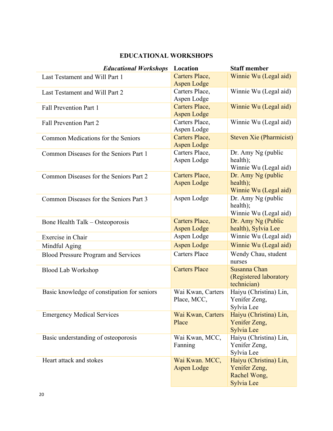## **EDUCATIONAL WORKSHOPS**

| <b>Educational Workshops</b>                | Location                             | <b>Staff member</b>            |
|---------------------------------------------|--------------------------------------|--------------------------------|
| Last Testament and Will Part 1              | <b>Carters Place,</b>                | Winnie Wu (Legal aid)          |
|                                             | <b>Aspen Lodge</b>                   |                                |
| Last Testament and Will Part 2              | Carters Place,<br>Aspen Lodge        | Winnie Wu (Legal aid)          |
|                                             |                                      |                                |
| Fall Prevention Part 1                      | Carters Place,<br><b>Aspen Lodge</b> | Winnie Wu (Legal aid)          |
| <b>Fall Prevention Part 2</b>               | Carters Place,                       | Winnie Wu (Legal aid)          |
|                                             | Aspen Lodge                          |                                |
| Common Medications for the Seniors          | Carters Place,                       | <b>Steven Xie (Pharmicist)</b> |
|                                             | <b>Aspen Lodge</b>                   |                                |
| Common Diseases for the Seniors Part 1      | Carters Place,                       | Dr. Amy Ng (public             |
|                                             | Aspen Lodge                          | health);                       |
|                                             |                                      | Winnie Wu (Legal aid)          |
| Common Diseases for the Seniors Part 2      | Carters Place,                       | Dr. Amy Ng (public             |
|                                             | <b>Aspen Lodge</b>                   | health);                       |
|                                             |                                      | Winnie Wu (Legal aid)          |
| Common Diseases for the Seniors Part 3      | Aspen Lodge                          | Dr. Amy Ng (public             |
|                                             |                                      | health);                       |
|                                             |                                      | Winnie Wu (Legal aid)          |
| Bone Health Talk – Osteoporosis             | Carters Place,                       | Dr. Amy Ng (Public             |
|                                             | <b>Aspen Lodge</b>                   | health), Sylvia Lee            |
| Exercise in Chair                           | Aspen Lodge                          | Winnie Wu (Legal aid)          |
| Mindful Aging                               | <b>Aspen Lodge</b>                   | Winnie Wu (Legal aid)          |
| <b>Blood Pressure Program and Services</b>  | <b>Carters Place</b>                 | Wendy Chau, student            |
|                                             |                                      | nurses                         |
| <b>Blood Lab Workshop</b>                   | <b>Carters Place</b>                 | Susanna Chan                   |
|                                             |                                      | (Registered laboratory         |
|                                             |                                      | technician)                    |
| Basic knowledge of constipation for seniors | Wai Kwan, Carters                    | Haiyu (Christina) Lin,         |
|                                             | Place, MCC,                          | Yenifer Zeng,                  |
|                                             |                                      | Sylvia Lee                     |
| <b>Emergency Medical Services</b>           | Wai Kwan, Carters                    | Haiyu (Christina) Lin,         |
|                                             | Place                                | Yenifer Zeng,                  |
|                                             |                                      | Sylvia Lee                     |
| Basic understanding of osteoporosis         | Wai Kwan, MCC,                       | Haiyu (Christina) Lin,         |
|                                             | Fanning                              | Yenifer Zeng,                  |
|                                             |                                      | Sylvia Lee                     |
| Heart attack and stokes                     | Wai Kwan. MCC,                       | Haiyu (Christina) Lin,         |
|                                             | <b>Aspen Lodge</b>                   | Yenifer Zeng,                  |
|                                             |                                      | Rachel Wong,                   |
|                                             |                                      | Sylvia Lee                     |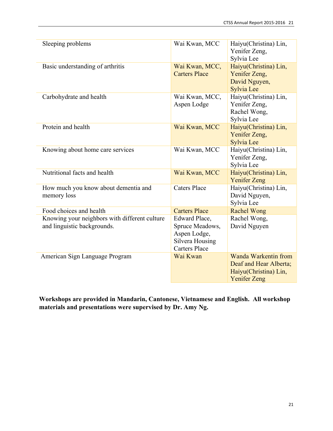| Sleeping problems                                                            | Wai Kwan, MCC                                                                               | Haiyu(Christina) Lin,<br>Yenifer Zeng,<br>Sylvia Lee                                                  |
|------------------------------------------------------------------------------|---------------------------------------------------------------------------------------------|-------------------------------------------------------------------------------------------------------|
| Basic understanding of arthritis                                             | Wai Kwan, MCC,<br><b>Carters Place</b>                                                      | Haiyu(Christina) Lin,<br>Yenifer Zeng,<br>David Nguyen,<br>Sylvia Lee                                 |
| Carbohydrate and health                                                      | Wai Kwan, MCC,<br>Aspen Lodge                                                               | Haiyu(Christina) Lin,<br>Yenifer Zeng,<br>Rachel Wong,<br>Sylvia Lee                                  |
| Protein and health                                                           | Wai Kwan, MCC                                                                               | Haiyu(Christina) Lin,<br>Yenifer Zeng,<br>Sylvia Lee                                                  |
| Knowing about home care services                                             | Wai Kwan, MCC                                                                               | Haiyu(Christina) Lin,<br>Yenifer Zeng,<br>Sylvia Lee                                                  |
| Nutritional facts and health                                                 | Wai Kwan, MCC                                                                               | Haiyu(Christina) Lin,<br><b>Yenifer Zeng</b>                                                          |
| How much you know about dementia and<br>memory loss                          | <b>Caters Place</b>                                                                         | Haiyu(Christina) Lin,<br>David Nguyen,<br>Sylvia Lee                                                  |
| Food choices and health                                                      | <b>Carters Place</b>                                                                        | <b>Rachel Wong</b>                                                                                    |
| Knowing your neighbors with different culture<br>and linguistic backgrounds. | Edward Place,<br>Spruce Meadows,<br>Aspen Lodge,<br>Silvera Housing<br><b>Carters Place</b> | Rachel Wong,<br>David Nguyen                                                                          |
| American Sign Language Program                                               | Wai Kwan                                                                                    | <b>Wanda Warkentin from</b><br>Deaf and Hear Alberta;<br>Haiyu(Christina) Lin,<br><b>Yenifer Zeng</b> |

**Workshops are provided in Mandarin, Cantonese, Vietnamese and English. All workshop materials and presentations were supervised by Dr. Amy Ng.**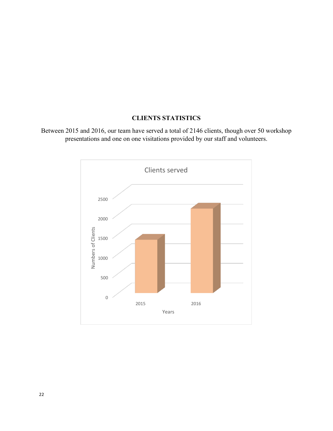## **CLIENTS STATISTICS**

Between 2015 and 2016, our team have served a total of 2146 clients, though over 50 workshop presentations and one on one visitations provided by our staff and volunteers.

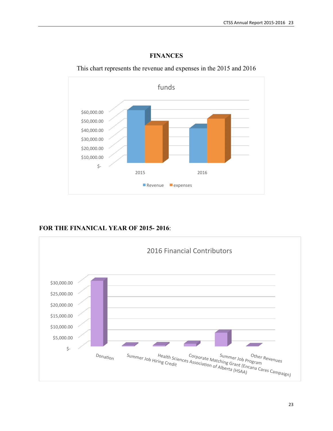

**FINANCES**

This chart represents the revenue and expenses in the 2015 and 2016

**FOR THE FINANICAL YEAR OF 2015- 2016**:

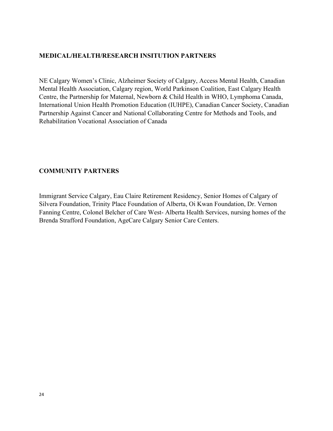#### **MEDICAL/HEALTH/RESEARCH INSITUTION PARTNERS**

NE Calgary Women's Clinic, Alzheimer Society of Calgary, Access Mental Health, Canadian Mental Health Association, Calgary region, World Parkinson Coalition, East Calgary Health Centre, the Partnership for Maternal, Newborn & Child Health in WHO, Lymphoma Canada, International Union Health Promotion Education (IUHPE), Canadian Cancer Society, Canadian Partnership Against Cancer and National Collaborating Centre for Methods and Tools, and Rehabilitation Vocational Association of Canada

#### **COMMUNITY PARTNERS**

Immigrant Service Calgary, Eau Claire Retirement Residency, Senior Homes of Calgary of Silvera Foundation, Trinity Place Foundation of Alberta, Oi Kwan Foundation, Dr. Vernon Fanning Centre, Colonel Belcher of Care West- Alberta Health Services, nursing homes of the Brenda Strafford Foundation, AgeCare Calgary Senior Care Centers.